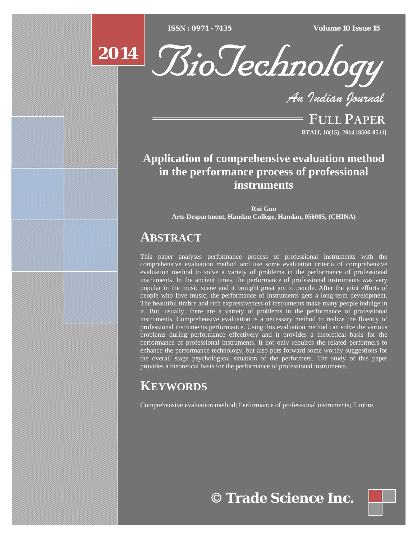$ISSN : 0974 - 7435$ 

*ISSN : 0974 - 7435 Volume 10 Issue 15*



*An Indian Journal*

FULL PAPER **BTAIJ, 10(15), 2014 [8506-8511]**

## **Application of comprehensive evaluation method in the performance process of professional instruments**

**Rui Guo Arts Despartment, Handan College, Handan, 056005, (CHINA)**

## **ABSTRACT**

This paper analyses performance process of professional instruments with the comprehensive evaluation method and use some evaluation criteria of comprehensive evaluation method to solve a variety of problems in the performance of professional instruments. In the ancient times, the performance of professional instruments was very popular in the music scene and it brought great joy to people. After the joint efforts of people who love music, the performance of instruments gets a long-term development. The beautiful timbre and rich expressiveness of instruments make many people indulge in it. But, usually, there are a variety of problems in the performance of professional instruments. Comprehensive evaluation is a necessary method to realize the fluency of professional instruments performance. Using this evaluation method can solve the various problems during performance effectively and it provides a theoretical basis for the performance of professional instruments. It not only requires the related performers to enhance the performance technology, but also puts forward some worthy suggestions for the overall stage psychological situation of the performers. The study of this paper provides a theoretical basis for the performance of professional instruments.

# **KEYWORDS**

Comprehensive evaluation method; Performance of professional instruments; Timbre.

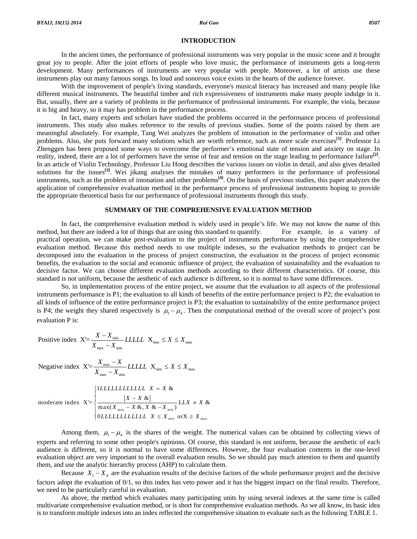### **INTRODUCTION**

 In the ancient times, the performance of professional instruments was very popular in the music scene and it brought great joy to people. After the joint efforts of people who love music, the performance of instruments gets a long-term development. Many performances of instruments are very popular with people. Moreover, a lot of artists use these instruments play out many famous songs. Its loud and sonorous voice exists in the hearts of the audience forever.

 With the improvement of people's living standards, everyone's musical literacy has increased and many people like different musical instruments. The beautiful timbre and rich expressiveness of instruments make many people indulge in it. But, usually, there are a variety of problems in the performance of professional instruments. For example, the viola, because it is big and heavy, so it may has problem in the performance process.

 In fact, many experts and scholars have studied the problems occurred in the performance process of professional instruments. This study also makes reference to the results of previous studies. Some of the points raised by them are meaningful absolutely. For example, Tang Wei analyzes the problem of intonation in the performance of violin and other problems. Also, she puts forward many solutions which are worth reference, such as more scale exercises**[1]**. Professor Li Zhenggen has been proposed some ways to overcome the performer's emotional state of tension and anxiety on stage. In reality, indeed, there are a lot of performers have the sense of fear and tension on the stage leading to performance failure**[2]**. In an article of Violin Technology, Professor Liu Hong describes the various issues on violin in detail, and also gives detailed solutions for the issues<sup>[3]</sup>. Wei jikang analyses the mistakes of many performers in the performance of professional instruments, such as the problem of intonation and other problems**[4]**. On the basis of previous studies, this paper analyzes the application of comprehensive evaluation method in the performance process of professional instruments hoping to provide the appropriate theoretical basis for our performance of professional instruments through this study.

### **SUMMARY OF THE COMPREHENSIVE EVALUATION METHOD**

 In fact, the comprehensive evaluation method is widely used in people's life. We may not know the name of this method, but there are indeed a lot of things that are using this standard to quantify. For example, in a variety of practical operation, we can make post-evaluation to the project of instruments performance by using the comprehensive evaluation method. Because this method needs to use multiple indexes, so the evaluation methods to project can be decomposed into the evaluation in the process of project construction, the evaluation in the process of project economic benefits, the evaluation to the social and economic influence of project, the evaluation of sustainability and the evaluation to decisive factor. We can choose different evaluation methods according to their different characteristics. Of course, this standard is not uniform, because the aesthetic of each audience is different, so it is normal to have some differences.

 So, in implementation process of the entire project, we assume that the evaluation to all aspects of the professional instruments performance is P1; the evaluation to all kinds of benefits of the entire performance project is P2; the evaluation to all kinds of influence of the entire performance project is P3; the evaluation to sustainability of the entire performance project is P4; the weight they shared respectively is  $\mu_1 - \mu_4$ . Then the computational method of the overall score of project's post evaluation P is:

Positive index 
$$
X = \frac{X - X_{\min}}{X_{\max} - X_{\min}}
$$
  $LLLLL$   $X_{\min} \le X \le X_{\max}$ 

 $\frac{X_{\max}}{X_{\max}} - \frac{X_{\min}}{X_{\min}} \leq X \leq X_{\max}$ Negative index  $X' = \frac{X_{\text{max}} - X}{X_{\text{max}} - X_{\text{min}}} L L L L L X_{\text{min}} \le X \le X$ 

moderate index 
$$
X' = \begin{cases} 1LLLLLLLLLLL & X = X & \& \\ \frac{|X - X & \& \\ \max(X_{\text{max}} - X & \& X & \& & \\ 0 & \text{MLLLLLLLLL} & X \leq X_{\text{min}} & \text{or} \\ X & \leq X_{\text{max}} & \end{cases}
$$

Among them,  $\mu_1 - \mu_4$  is the shares of the weight. The numerical values can be obtained by collecting views of experts and referring to some other people's opinions. Of course, this standard is not uniform, because the aesthetic of each audience is different, so it is normal to have some differences. However, the four evaluation contents in the one-level evaluation object are very important to the overall evaluation results. So we should pay much attention to them and quantify them, and use the analytic hierarchy process (AHP) to calculate them.

Because  $X_1 - X_4$  are the evaluation results of the decisive factors of the whole performance project and the decisive factors adopt the evaluation of 0/1, so this index has veto power and it has the biggest impact on the final results. Therefore, we need to be particularly careful in evaluation.

 As above, the method which evaluates many participating units by using several indexes at the same time is called multivariate comprehensive evaluation method, or is short for comprehensive evaluation methods. As we all know, its basic idea is to transform multiple indexes into an index reflected the comprehensive situation to evaluate such as the following TABLE 1.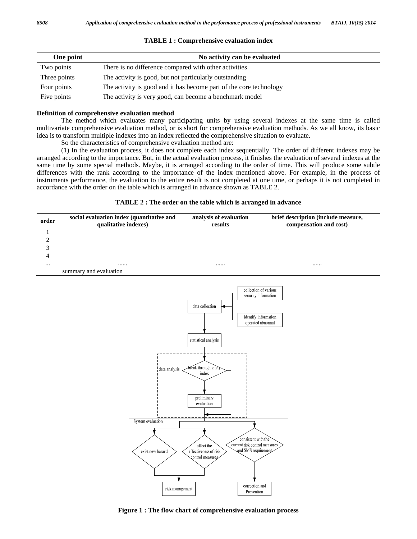| One point    | No activity can be evaluated                                       |  |  |
|--------------|--------------------------------------------------------------------|--|--|
| Two points   | There is no difference compared with other activities              |  |  |
| Three points | The activity is good, but not particularly outstanding             |  |  |
| Four points  | The activity is good and it has become part of the core technology |  |  |
| Five points  | The activity is very good, can become a benchmark model            |  |  |

### **TABLE 1 : Comprehensive evaluation index**

### **Definition of comprehensive evaluation method**

 The method which evaluates many participating units by using several indexes at the same time is called multivariate comprehensive evaluation method, or is short for comprehensive evaluation methods. As we all know, its basic idea is to transform multiple indexes into an index reflected the comprehensive situation to evaluate.

So the characteristics of comprehensive evaluation method are:

 (1) In the evaluation process, it does not complete each index sequentially. The order of different indexes may be arranged according to the importance. But, in the actual evaluation process, it finishes the evaluation of several indexes at the same time by some special methods. Maybe, it is arranged according to the order of time. This will produce some subtle differences with the rank according to the importance of the index mentioned above. For example, in the process of instruments performance, the evaluation to the entire result is not completed at one time, or perhaps it is not completed in accordance with the order on the table which is arranged in advance shown as TABLE 2.

### **TABLE 2 : The order on the table which is arranged in advance**

| order          | social evaluation index (quantitative and<br>qualitative indexes) | analysis of evaluation<br>$\bf{results}$                                                                                        | brief description (include measure,<br>compensation and cost)         |
|----------------|-------------------------------------------------------------------|---------------------------------------------------------------------------------------------------------------------------------|-----------------------------------------------------------------------|
| 1              |                                                                   |                                                                                                                                 |                                                                       |
| $\overline{c}$ |                                                                   |                                                                                                                                 |                                                                       |
| 3              |                                                                   |                                                                                                                                 |                                                                       |
| 4              |                                                                   |                                                                                                                                 |                                                                       |
|                |                                                                   |                                                                                                                                 |                                                                       |
| $\cdots$       | summary and evaluation                                            |                                                                                                                                 |                                                                       |
|                | data analysis.<br>System evaluation                               | data collection<br>↞<br>operated abnormal<br>statistical analysis<br>break through safety<br>index<br>preliminary<br>evaluation | collection of various<br>security information<br>identify information |

affect the

effectiveness of risk

ontrol measures

exist new hazard

risk management

consistent with the current risk control measure

nd SMS requirement

correction and

Prevention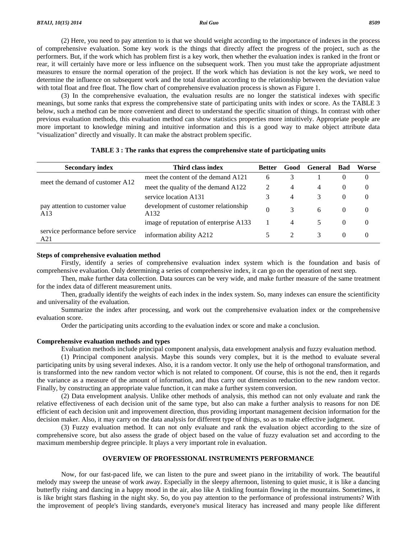(2) Here, you need to pay attention to is that we should weight according to the importance of indexes in the process of comprehensive evaluation. Some key work is the things that directly affect the progress of the project, such as the performers. But, if the work which has problem first is a key work, then whether the evaluation index is ranked in the front or rear, it will certainly have more or less influence on the subsequent work. Then you must take the appropriate adjustment measures to ensure the normal operation of the project. If the work which has deviation is not the key work, we need to determine the influence on subsequent work and the total duration according to the relationship between the deviation value with total float and free float. The flow chart of comprehensive evaluation process is shown as Figure 1.

 (3) In the comprehensive evaluation, the evaluation results are no longer the statistical indexes with specific meanings, but some ranks that express the comprehensive state of participating units with index or score. As the TABLE 3 below, such a method can be more convenient and direct to understand the specific situation of things. In contrast with other previous evaluation methods, this evaluation method can show statistics properties more intuitively. Appropriate people are more important to knowledge mining and intuitive information and this is a good way to make object attribute data "visualization" directly and visually. It can make the abstract problem specific.

| <b>Secondary index</b>                    | Third class index                            | <b>Better</b> | Good | General | Bad      | Worse    |
|-------------------------------------------|----------------------------------------------|---------------|------|---------|----------|----------|
| meet the demand of customer A12           | meet the content of the demand A121          | 6             | 3    |         | $\theta$ | 0        |
|                                           | meet the quality of the demand A122          | 2             | 4    | 4       | 0        | $\theta$ |
|                                           | service location A131                        | 3             | 4    | 3       | $\theta$ | $\theta$ |
| pay attention to customer value<br>A13    | development of customer relationship<br>A132 | $\theta$      | 3    | 6       | $\Omega$ | $\theta$ |
|                                           | image of reputation of enterprise A133       |               | 4    |         | $\theta$ | $\theta$ |
| service performance before service<br>A21 | information ability A212                     |               |      | 3       | $\theta$ | $\Omega$ |

### **TABLE 3 : The ranks that express the comprehensive state of participating units**

### **Steps of comprehensive evaluation method**

 Firstly, identify a series of comprehensive evaluation index system which is the foundation and basis of comprehensive evaluation. Only determining a series of comprehensive index, it can go on the operation of next step.

 Then, make further data collection. Data sources can be very wide, and make further measure of the same treatment for the index data of different measurement units.

 Then, gradually identify the weights of each index in the index system. So, many indexes can ensure the scientificity and universality of the evaluation.

 Summarize the index after processing, and work out the comprehensive evaluation index or the comprehensive evaluation score.

Order the participating units according to the evaluation index or score and make a conclusion.

### **Comprehensive evaluation methods and types**

Evaluation methods include principal component analysis, data envelopment analysis and fuzzy evaluation method.

 (1) Principal component analysis. Maybe this sounds very complex, but it is the method to evaluate several participating units by using several indexes. Also, it is a random vector. It only use the help of orthogonal transformation, and is transformed into the new random vector which is not related to component. Of course, this is not the end, then it regards the variance as a measure of the amount of information, and thus carry out dimension reduction to the new random vector. Finally, by constructing an appropriate value function, it can make a further system conversion.

 (2) Data envelopment analysis. Unlike other methods of analysis, this method can not only evaluate and rank the relative effectiveness of each decision unit of the same type, but also can make a further analysis to reasons for non DE efficient of each decision unit and improvement direction, thus providing important management decision information for the decision maker. Also, it may carry on the data analysis for different type of things, so as to make effective judgment.

 (3) Fuzzy evaluation method. It can not only evaluate and rank the evaluation object according to the size of comprehensive score, but also assess the grade of object based on the value of fuzzy evaluation set and according to the maximum membership degree principle. It plays a very important role in evaluation.

### **OVERVIEW OF PROFESSIONAL INSTRUMENTS PERFORMANCE**

 Now, for our fast-paced life, we can listen to the pure and sweet piano in the irritability of work. The beautiful melody may sweep the unease of work away. Especially in the sleepy afternoon, listening to quiet music, it is like a dancing butterfly rising and dancing in a happy mood in the air, also like A tinkling fountain flowing in the mountains. Sometimes, it is like bright stars flashing in the night sky. So, do you pay attention to the performance of professional instruments? With the improvement of people's living standards, everyone's musical literacy has increased and many people like different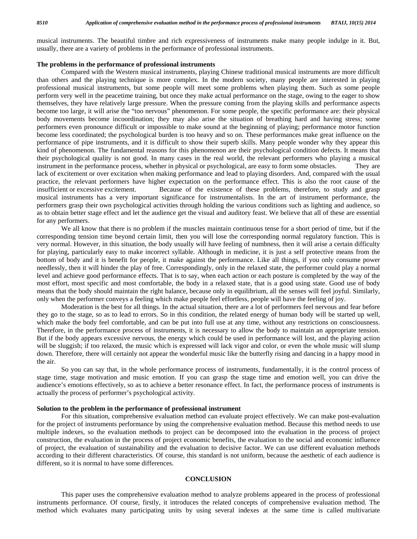musical instruments. The beautiful timbre and rich expressiveness of instruments make many people indulge in it. But, usually, there are a variety of problems in the performance of professional instruments.

### **The problems in the performance of professional instruments**

 Compared with the Western musical instruments, playing Chinese traditional musical instruments are more difficult than others and the playing technique is more complex. In the modern society, many people are interested in playing professional musical instruments, but some people will meet some problems when playing them. Such as some people perform very well in the peacetime training, but once they make actual performance on the stage, owing to the eager to show themselves, they have relatively large pressure. When the pressure coming from the playing skills and performance aspects become too large, it will arise the "too nervous" phenomenon. For some people, the specific performance are: their physical body movements become incoordination; they may also arise the situation of breathing hard and having stress; some performers even pronounce difficult or impossible to make sound at the beginning of playing; performance motor function become less coordinated; the psychological burden is too heavy and so on. These performances make great influence on the performance of pipe instruments, and it is difficult to show their superb skills. Many people wonder why they appear this kind of phenomenon. The fundamental reasons for this phenomenon are their psychological condition defects. It means that their psychological quality is not good. In many cases in the real world, the relevant performers who playing a musical instrument in the performance process, whether in physical or psychological, are easy to form some obstacles. They are lack of excitement or over excitation when making performance and lead to playing disorders. And, compared with the usual practice, the relevant performers have higher expectation on the performance effect. This is also the root cause of the insufficient or excessive excitement. Because of the existence of these problems, therefore, to study and grasp musical instruments has a very important significance for instrumentalists. In the art of instrument performance, the performers grasp their own psychological activities through holding the various conditions such as lighting and audience, so as to obtain better stage effect and let the audience get the visual and auditory feast. We believe that all of these are essential for any performers.

 We all know that there is no problem if the muscles maintain continuous tense for a short period of time, but if the corresponding tension time beyond certain limit, then you will lose the corresponding normal regulatory function. This is very normal. However, in this situation, the body usually will have feeling of numbness, then it will arise a certain difficulty for playing, particularly easy to make incorrect syllable. Although in medicine, it is just a self protective means from the bottom of body and it is benefit for people, it make against the performance. Like all things, if you only consume power needlessly, then it will hinder the play of free. Correspondingly, only in the relaxed state, the performer could play a normal level and achieve good performance effects. That is to say, when each action or each posture is completed by the way of the most effort, most specific and most comfortable, the body in a relaxed state, that is a good using state. Good use of body means that the body should maintain the right balance, because only in equilibrium, all the senses will feel joyful. Similarly, only when the performer conveys a feeling which make people feel effortless, people will have the feeling of joy.

 Moderation is the best for all things. In the actual situation, there are a lot of performers feel nervous and fear before they go to the stage, so as to lead to errors. So in this condition, the related energy of human body will be started up well, which make the body feel comfortable, and can be put into full use at any time, without any restrictions on consciousness. Therefore, in the performance process of instruments, it is necessary to allow the body to maintain an appropriate tension. But if the body appears excessive nervous, the energy which could be used in performance will lost, and the playing action will be sluggish; if too relaxed, the music which is expressed will lack vigor and color, or even the whole music will slump down. Therefore, there will certainly not appear the wonderful music like the butterfly rising and dancing in a happy mood in the air.

 So you can say that, in the whole performance process of instruments, fundamentally, it is the control process of stage time, stage motivation and music emotion. If you can grasp the stage time and emotion well, you can drive the audience's emotions effectively, so as to achieve a better resonance effect. In fact, the performance process of instruments is actually the process of performer's psychological activity.

### **Solution to the problem in the performance of professional instrument**

 For this situation, comprehensive evaluation method can evaluate project effectively. We can make post-evaluation for the project of instruments performance by using the comprehensive evaluation method. Because this method needs to use multiple indexes, so the evaluation methods to project can be decomposed into the evaluation in the process of project construction, the evaluation in the process of project economic benefits, the evaluation to the social and economic influence of project, the evaluation of sustainability and the evaluation to decisive factor. We can use different evaluation methods according to their different characteristics. Of course, this standard is not uniform, because the aesthetic of each audience is different, so it is normal to have some differences.

### **CONCLUSION**

 This paper uses the comprehensive evaluation method to analyze problems appeared in the process of professional instruments performance. Of course, firstly, it introduces the related concepts of comprehensive evaluation method. The method which evaluates many participating units by using several indexes at the same time is called multivariate